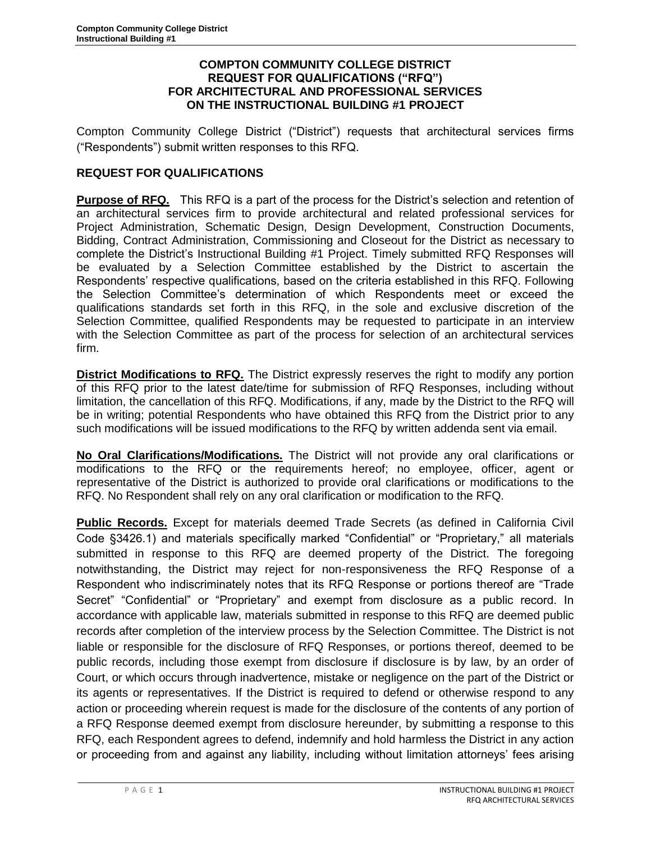### **COMPTON COMMUNITY COLLEGE DISTRICT REQUEST FOR QUALIFICATIONS ("RFQ") FOR ARCHITECTURAL AND PROFESSIONAL SERVICES ON THE INSTRUCTIONAL BUILDING #1 PROJECT**

Compton Community College District ("District") requests that architectural services firms ("Respondents") submit written responses to this RFQ.

# **REQUEST FOR QUALIFICATIONS**

**Purpose of RFQ.** This RFQ is a part of the process for the District's selection and retention of an architectural services firm to provide architectural and related professional services for Project Administration, Schematic Design, Design Development, Construction Documents, Bidding, Contract Administration, Commissioning and Closeout for the District as necessary to complete the District's Instructional Building #1 Project. Timely submitted RFQ Responses will be evaluated by a Selection Committee established by the District to ascertain the Respondents' respective qualifications, based on the criteria established in this RFQ. Following the Selection Committee's determination of which Respondents meet or exceed the qualifications standards set forth in this RFQ, in the sole and exclusive discretion of the Selection Committee, qualified Respondents may be requested to participate in an interview with the Selection Committee as part of the process for selection of an architectural services firm.

**District Modifications to RFQ.** The District expressly reserves the right to modify any portion of this RFQ prior to the latest date/time for submission of RFQ Responses, including without limitation, the cancellation of this RFQ. Modifications, if any, made by the District to the RFQ will be in writing; potential Respondents who have obtained this RFQ from the District prior to any such modifications will be issued modifications to the RFQ by written addenda sent via email.

**No Oral Clarifications/Modifications.** The District will not provide any oral clarifications or modifications to the RFQ or the requirements hereof; no employee, officer, agent or representative of the District is authorized to provide oral clarifications or modifications to the RFQ. No Respondent shall rely on any oral clarification or modification to the RFQ.

**Public Records.** Except for materials deemed Trade Secrets (as defined in California Civil Code §3426.1) and materials specifically marked "Confidential" or "Proprietary," all materials submitted in response to this RFQ are deemed property of the District. The foregoing notwithstanding, the District may reject for non-responsiveness the RFQ Response of a Respondent who indiscriminately notes that its RFQ Response or portions thereof are "Trade Secret" "Confidential" or "Proprietary" and exempt from disclosure as a public record. In accordance with applicable law, materials submitted in response to this RFQ are deemed public records after completion of the interview process by the Selection Committee. The District is not liable or responsible for the disclosure of RFQ Responses, or portions thereof, deemed to be public records, including those exempt from disclosure if disclosure is by law, by an order of Court, or which occurs through inadvertence, mistake or negligence on the part of the District or its agents or representatives. If the District is required to defend or otherwise respond to any action or proceeding wherein request is made for the disclosure of the contents of any portion of a RFQ Response deemed exempt from disclosure hereunder, by submitting a response to this RFQ, each Respondent agrees to defend, indemnify and hold harmless the District in any action or proceeding from and against any liability, including without limitation attorneys' fees arising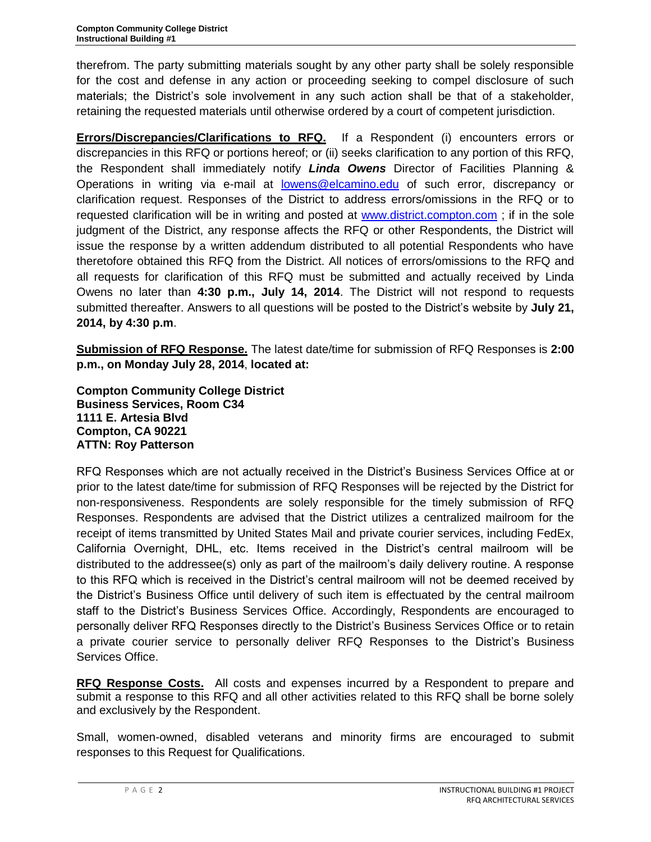therefrom. The party submitting materials sought by any other party shall be solely responsible for the cost and defense in any action or proceeding seeking to compel disclosure of such materials; the District's sole involvement in any such action shall be that of a stakeholder, retaining the requested materials until otherwise ordered by a court of competent jurisdiction.

**Errors/Discrepancies/Clarifications to RFQ.** If a Respondent (i) encounters errors or discrepancies in this RFQ or portions hereof; or (ii) seeks clarification to any portion of this RFQ, the Respondent shall immediately notify *Linda Owens* Director of Facilities Planning & Operations in writing via e-mail at [lowens@elcamino.edu](mailto:lowens@elcamino.edu) of such error, discrepancy or clarification request. Responses of the District to address errors/omissions in the RFQ or to requested clarification will be in writing and posted at [www.district.compton.com](http://www.district.compton.com/) ; if in the sole judgment of the District, any response affects the RFQ or other Respondents, the District will issue the response by a written addendum distributed to all potential Respondents who have theretofore obtained this RFQ from the District. All notices of errors/omissions to the RFQ and all requests for clarification of this RFQ must be submitted and actually received by Linda Owens no later than **4:30 p.m., July 14, 2014**. The District will not respond to requests submitted thereafter. Answers to all questions will be posted to the District's website by **July 21, 2014, by 4:30 p.m**.

**Submission of RFQ Response.** The latest date/time for submission of RFQ Responses is **2:00 p.m., on Monday July 28, 2014**, **located at:**

**Compton Community College District Business Services, Room C34 1111 E. Artesia Blvd Compton, CA 90221 ATTN: Roy Patterson**

RFQ Responses which are not actually received in the District's Business Services Office at or prior to the latest date/time for submission of RFQ Responses will be rejected by the District for non-responsiveness. Respondents are solely responsible for the timely submission of RFQ Responses. Respondents are advised that the District utilizes a centralized mailroom for the receipt of items transmitted by United States Mail and private courier services, including FedEx, California Overnight, DHL, etc. Items received in the District's central mailroom will be distributed to the addressee(s) only as part of the mailroom's daily delivery routine. A response to this RFQ which is received in the District's central mailroom will not be deemed received by the District's Business Office until delivery of such item is effectuated by the central mailroom staff to the District's Business Services Office. Accordingly, Respondents are encouraged to personally deliver RFQ Responses directly to the District's Business Services Office or to retain a private courier service to personally deliver RFQ Responses to the District's Business Services Office.

**RFQ Response Costs.** All costs and expenses incurred by a Respondent to prepare and submit a response to this RFQ and all other activities related to this RFQ shall be borne solely and exclusively by the Respondent.

Small, women-owned, disabled veterans and minority firms are encouraged to submit responses to this Request for Qualifications.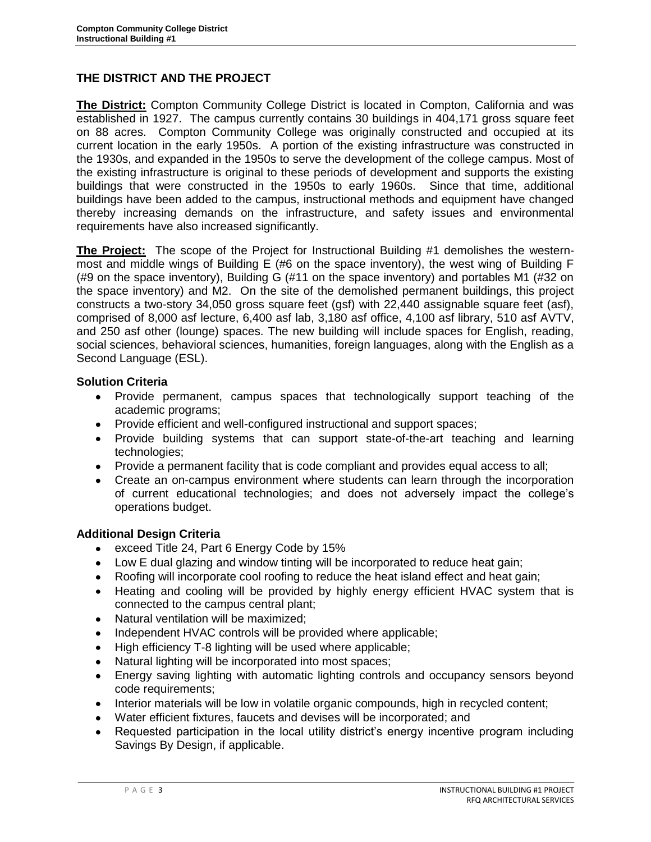# **THE DISTRICT AND THE PROJECT**

**The District:** Compton Community College District is located in Compton, California and was established in 1927. The campus currently contains 30 buildings in 404,171 gross square feet on 88 acres. Compton Community College was originally constructed and occupied at its current location in the early 1950s. A portion of the existing infrastructure was constructed in the 1930s, and expanded in the 1950s to serve the development of the college campus. Most of the existing infrastructure is original to these periods of development and supports the existing buildings that were constructed in the 1950s to early 1960s. Since that time, additional buildings have been added to the campus, instructional methods and equipment have changed thereby increasing demands on the infrastructure, and safety issues and environmental requirements have also increased significantly.

**The Project:** The scope of the Project for Instructional Building #1 demolishes the westernmost and middle wings of Building E (#6 on the space inventory), the west wing of Building F (#9 on the space inventory), Building G (#11 on the space inventory) and portables M1 (#32 on the space inventory) and M2. On the site of the demolished permanent buildings, this project constructs a two-story 34,050 gross square feet (gsf) with 22,440 assignable square feet (asf), comprised of 8,000 asf lecture, 6,400 asf lab, 3,180 asf office, 4,100 asf library, 510 asf AVTV, and 250 asf other (lounge) spaces. The new building will include spaces for English, reading, social sciences, behavioral sciences, humanities, foreign languages, along with the English as a Second Language (ESL).

### **Solution Criteria**

- Provide permanent, campus spaces that technologically support teaching of the academic programs;
- Provide efficient and well-configured instructional and support spaces;
- Provide building systems that can support state-of-the-art teaching and learning technologies;
- Provide a permanent facility that is code compliant and provides equal access to all;
- Create an on-campus environment where students can learn through the incorporation of current educational technologies; and does not adversely impact the college's operations budget.

## **Additional Design Criteria**

- exceed Title 24, Part 6 Energy Code by 15%  $\bullet$
- Low E dual glazing and window tinting will be incorporated to reduce heat gain;
- Roofing will incorporate cool roofing to reduce the heat island effect and heat gain;
- Heating and cooling will be provided by highly energy efficient HVAC system that is connected to the campus central plant;
- Natural ventilation will be maximized;  $\bullet$
- Independent HVAC controls will be provided where applicable;  $\bullet$
- High efficiency T-8 lighting will be used where applicable;  $\bullet$
- Natural lighting will be incorporated into most spaces;
- Energy saving lighting with automatic lighting controls and occupancy sensors beyond  $\bullet$ code requirements;
- Interior materials will be low in volatile organic compounds, high in recycled content;  $\bullet$
- Water efficient fixtures, faucets and devises will be incorporated; and
- Requested participation in the local utility district's energy incentive program including Savings By Design, if applicable.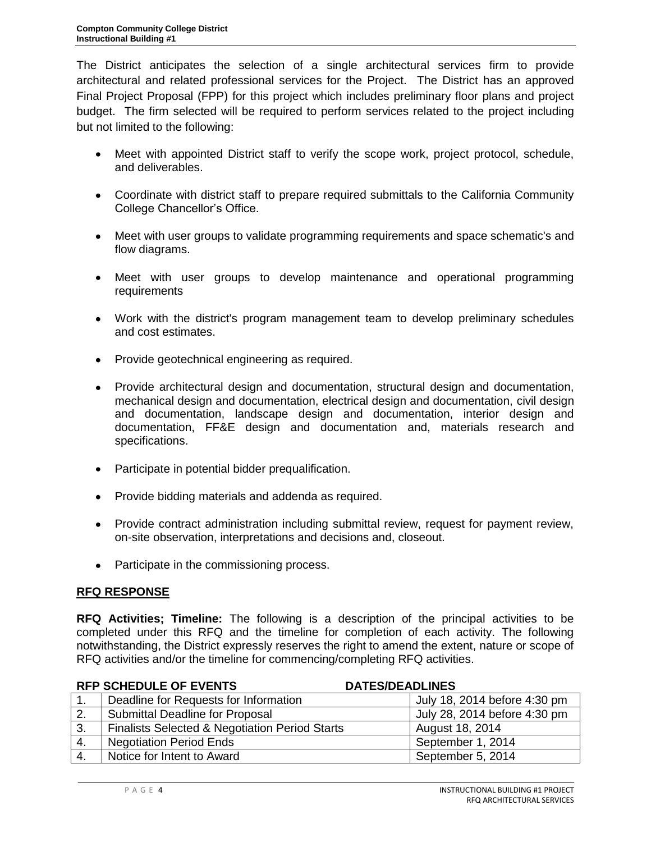The District anticipates the selection of a single architectural services firm to provide architectural and related professional services for the Project. The District has an approved Final Project Proposal (FPP) for this project which includes preliminary floor plans and project budget. The firm selected will be required to perform services related to the project including but not limited to the following:

- Meet with appointed District staff to verify the scope work, project protocol, schedule, and deliverables.
- Coordinate with district staff to prepare required submittals to the California Community College Chancellor's Office.
- Meet with user groups to validate programming requirements and space schematic's and flow diagrams.
- Meet with user groups to develop maintenance and operational programming requirements
- Work with the district's program management team to develop preliminary schedules and cost estimates.
- Provide geotechnical engineering as required.
- Provide architectural design and documentation, structural design and documentation, mechanical design and documentation, electrical design and documentation, civil design and documentation, landscape design and documentation, interior design and documentation, FF&E design and documentation and, materials research and specifications.
- Participate in potential bidder prequalification.  $\bullet$
- Provide bidding materials and addenda as required.
- $\bullet$ Provide contract administration including submittal review, request for payment review, on-site observation, interpretations and decisions and, closeout.
- Participate in the commissioning process.

# **RFQ RESPONSE**

**RFQ Activities; Timeline:** The following is a description of the principal activities to be completed under this RFQ and the timeline for completion of each activity. The following notwithstanding, the District expressly reserves the right to amend the extent, nature or scope of RFQ activities and/or the timeline for commencing/completing RFQ activities.

| <b>RFP SCHEDULE OF EVENTS</b> |                                                           | <b>DATES/DEADLINES</b>       |  |
|-------------------------------|-----------------------------------------------------------|------------------------------|--|
|                               | Deadline for Requests for Information                     | July 18, 2014 before 4:30 pm |  |
| 2.                            | <b>Submittal Deadline for Proposal</b>                    | July 28, 2014 before 4:30 pm |  |
| 3.                            | <b>Finalists Selected &amp; Negotiation Period Starts</b> | August 18, 2014              |  |
| 4.                            | <b>Negotiation Period Ends</b>                            | September 1, 2014            |  |
| 4.                            | Notice for Intent to Award                                | September 5, 2014            |  |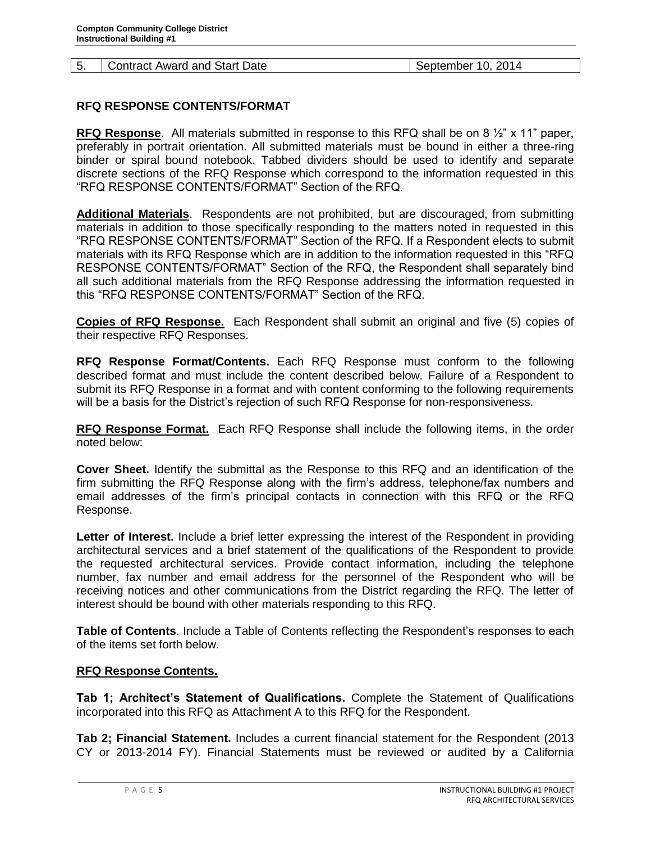#### 5. Contract Award and Start Date September 10, 2014

## **RFQ RESPONSE CONTENTS/FORMAT**

**RFQ Response**. All materials submitted in response to this RFQ shall be on 8 ½" x 11" paper, preferably in portrait orientation. All submitted materials must be bound in either a three-ring binder or spiral bound notebook. Tabbed dividers should be used to identify and separate discrete sections of the RFQ Response which correspond to the information requested in this "RFQ RESPONSE CONTENTS/FORMAT" Section of the RFQ.

**Additional Materials**. Respondents are not prohibited, but are discouraged, from submitting materials in addition to those specifically responding to the matters noted in requested in this "RFQ RESPONSE CONTENTS/FORMAT" Section of the RFQ. If a Respondent elects to submit materials with its RFQ Response which are in addition to the information requested in this "RFQ RESPONSE CONTENTS/FORMAT" Section of the RFQ, the Respondent shall separately bind all such additional materials from the RFQ Response addressing the information requested in this "RFQ RESPONSE CONTENTS/FORMAT" Section of the RFQ.

**Copies of RFQ Response.** Each Respondent shall submit an original and five (5) copies of their respective RFQ Responses.

**RFQ Response Format/Contents.** Each RFQ Response must conform to the following described format and must include the content described below. Failure of a Respondent to submit its RFQ Response in a format and with content conforming to the following requirements will be a basis for the District's rejection of such RFQ Response for non-responsiveness.

**RFQ Response Format.** Each RFQ Response shall include the following items, in the order noted below:

**Cover Sheet.** Identify the submittal as the Response to this RFQ and an identification of the firm submitting the RFQ Response along with the firm's address, telephone/fax numbers and email addresses of the firm's principal contacts in connection with this RFQ or the RFQ Response.

**Letter of Interest.** Include a brief letter expressing the interest of the Respondent in providing architectural services and a brief statement of the qualifications of the Respondent to provide the requested architectural services. Provide contact information, including the telephone number, fax number and email address for the personnel of the Respondent who will be receiving notices and other communications from the District regarding the RFQ. The letter of interest should be bound with other materials responding to this RFQ.

**Table of Contents**. Include a Table of Contents reflecting the Respondent's responses to each of the items set forth below.

### **RFQ Response Contents.**

**Tab 1; Architect's Statement of Qualifications.** Complete the Statement of Qualifications incorporated into this RFQ as Attachment A to this RFQ for the Respondent.

**Tab 2; Financial Statement.** Includes a current financial statement for the Respondent (2013 CY or 2013-2014 FY). Financial Statements must be reviewed or audited by a California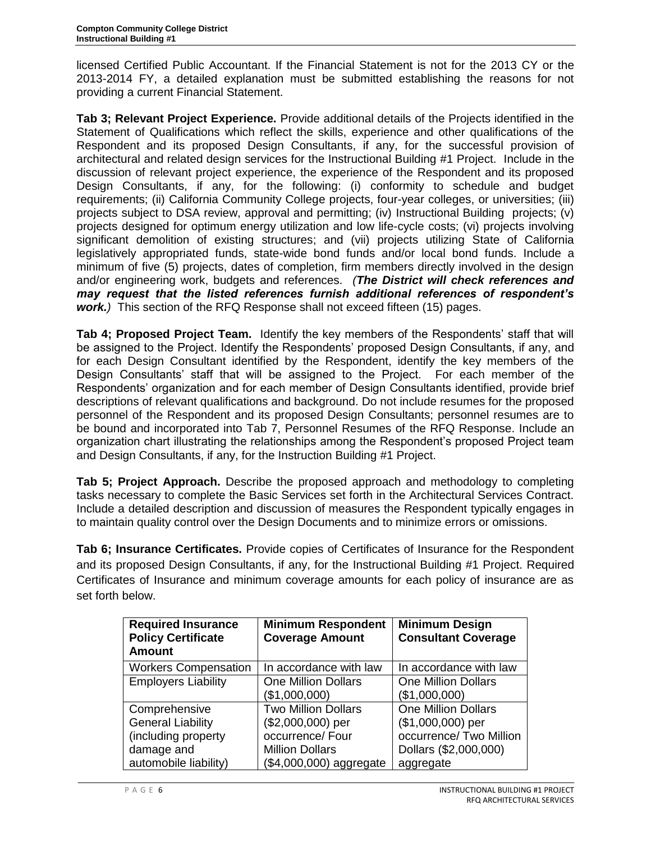licensed Certified Public Accountant. If the Financial Statement is not for the 2013 CY or the 2013-2014 FY, a detailed explanation must be submitted establishing the reasons for not providing a current Financial Statement.

**Tab 3; Relevant Project Experience.** Provide additional details of the Projects identified in the Statement of Qualifications which reflect the skills, experience and other qualifications of the Respondent and its proposed Design Consultants, if any, for the successful provision of architectural and related design services for the Instructional Building #1 Project. Include in the discussion of relevant project experience, the experience of the Respondent and its proposed Design Consultants, if any, for the following: (i) conformity to schedule and budget requirements; (ii) California Community College projects, four-year colleges, or universities; (iii) projects subject to DSA review, approval and permitting; (iv) Instructional Building projects; (v) projects designed for optimum energy utilization and low life-cycle costs; (vi) projects involving significant demolition of existing structures; and (vii) projects utilizing State of California legislatively appropriated funds, state-wide bond funds and/or local bond funds. Include a minimum of five (5) projects, dates of completion, firm members directly involved in the design and/or engineering work, budgets and references. *(The District will check references and may request that the listed references furnish additional references of respondent's work.)* This section of the RFQ Response shall not exceed fifteen (15) pages.

**Tab 4; Proposed Project Team.** Identify the key members of the Respondents' staff that will be assigned to the Project. Identify the Respondents' proposed Design Consultants, if any, and for each Design Consultant identified by the Respondent, identify the key members of the Design Consultants' staff that will be assigned to the Project. For each member of the Respondents' organization and for each member of Design Consultants identified, provide brief descriptions of relevant qualifications and background. Do not include resumes for the proposed personnel of the Respondent and its proposed Design Consultants; personnel resumes are to be bound and incorporated into Tab 7, Personnel Resumes of the RFQ Response. Include an organization chart illustrating the relationships among the Respondent's proposed Project team and Design Consultants, if any, for the Instruction Building #1 Project.

**Tab 5; Project Approach.** Describe the proposed approach and methodology to completing tasks necessary to complete the Basic Services set forth in the Architectural Services Contract. Include a detailed description and discussion of measures the Respondent typically engages in to maintain quality control over the Design Documents and to minimize errors or omissions.

**Tab 6; Insurance Certificates.** Provide copies of Certificates of Insurance for the Respondent and its proposed Design Consultants, if any, for the Instructional Building #1 Project. Required Certificates of Insurance and minimum coverage amounts for each policy of insurance are as set forth below.

| <b>Required Insurance</b><br><b>Policy Certificate</b><br><b>Amount</b> | <b>Minimum Respondent</b><br><b>Coverage Amount</b> | <b>Minimum Design</b><br><b>Consultant Coverage</b> |
|-------------------------------------------------------------------------|-----------------------------------------------------|-----------------------------------------------------|
| <b>Workers Compensation</b>                                             | In accordance with law                              | In accordance with law                              |
| <b>Employers Liability</b>                                              | <b>One Million Dollars</b>                          | <b>One Million Dollars</b>                          |
|                                                                         | (\$1,000,000)                                       | (\$1,000,000)                                       |
| Comprehensive                                                           | <b>Two Million Dollars</b>                          | <b>One Million Dollars</b>                          |
| <b>General Liability</b>                                                | (\$2,000,000) per                                   | (\$1,000,000) per                                   |
| (including property                                                     | occurrence/ Four                                    | occurrence/ Two Million                             |
| damage and                                                              | <b>Million Dollars</b>                              | Dollars (\$2,000,000)                               |
| automobile liability)                                                   | (\$4,000,000) aggregate                             | aggregate                                           |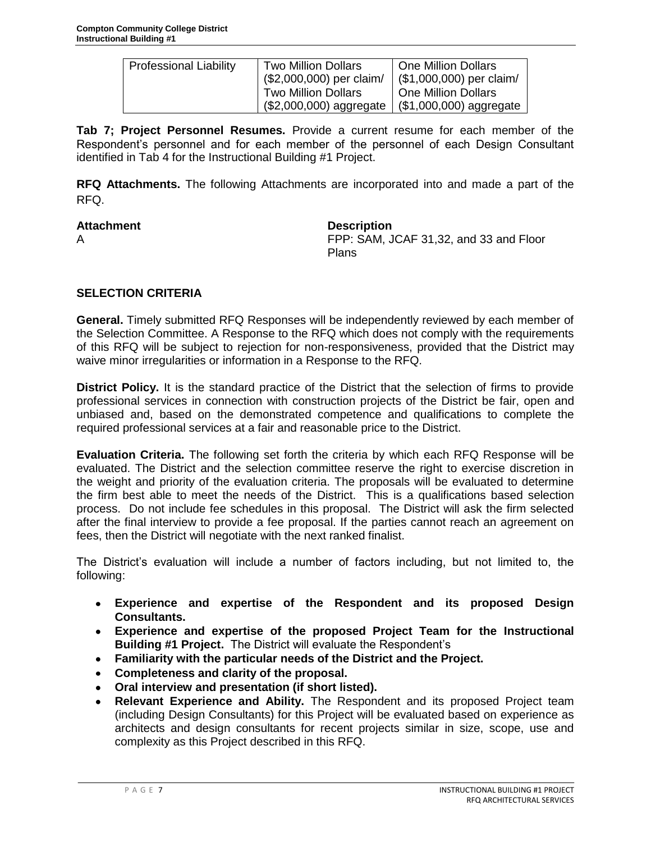| <b>Professional Liability</b> | <b>Two Million Dollars</b><br>(\$2,000,000) per claim/ | One Million Dollars<br>$($ \$1,000,000) per claim/     |
|-------------------------------|--------------------------------------------------------|--------------------------------------------------------|
|                               | <b>Two Million Dollars</b><br>(\$2,000,000) aggregate  | <b>One Million Dollars</b><br>$($1,000,000)$ aggregate |

**Tab 7; Project Personnel Resumes.** Provide a current resume for each member of the Respondent's personnel and for each member of the personnel of each Design Consultant identified in Tab 4 for the Instructional Building #1 Project.

**RFQ Attachments.** The following Attachments are incorporated into and made a part of the RFQ.

Attachment **Description** A FPP: SAM, JCAF 31,32, and 33 and Floor Plans

# **SELECTION CRITERIA**

**General.** Timely submitted RFQ Responses will be independently reviewed by each member of the Selection Committee. A Response to the RFQ which does not comply with the requirements of this RFQ will be subject to rejection for non-responsiveness, provided that the District may waive minor irregularities or information in a Response to the RFQ.

**District Policy.** It is the standard practice of the District that the selection of firms to provide professional services in connection with construction projects of the District be fair, open and unbiased and, based on the demonstrated competence and qualifications to complete the required professional services at a fair and reasonable price to the District.

**Evaluation Criteria.** The following set forth the criteria by which each RFQ Response will be evaluated. The District and the selection committee reserve the right to exercise discretion in the weight and priority of the evaluation criteria. The proposals will be evaluated to determine the firm best able to meet the needs of the District. This is a qualifications based selection process. Do not include fee schedules in this proposal. The District will ask the firm selected after the final interview to provide a fee proposal. If the parties cannot reach an agreement on fees, then the District will negotiate with the next ranked finalist.

The District's evaluation will include a number of factors including, but not limited to, the following:

- **Experience and expertise of the Respondent and its proposed Design**   $\bullet$ **Consultants.**
- **Experience and expertise of the proposed Project Team for the Instructional Building #1 Project.** The District will evaluate the Respondent's
- **Familiarity with the particular needs of the District and the Project.**
- **Completeness and clarity of the proposal.**
- **Oral interview and presentation (if short listed).**
- **Relevant Experience and Ability.** The Respondent and its proposed Project team (including Design Consultants) for this Project will be evaluated based on experience as architects and design consultants for recent projects similar in size, scope, use and complexity as this Project described in this RFQ.